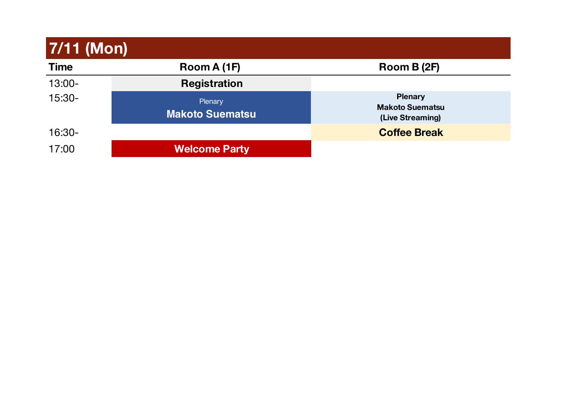| 7/11 (Mon)  |                                   |                                                              |  |  |  |  |
|-------------|-----------------------------------|--------------------------------------------------------------|--|--|--|--|
| <b>Time</b> | Room A (1F)                       | Room B (2F)                                                  |  |  |  |  |
| 13:00-      | <b>Registration</b>               |                                                              |  |  |  |  |
| 15:30-      | Plenary<br><b>Makoto Suematsu</b> | <b>Plenary</b><br><b>Makoto Suematsu</b><br>(Live Streaming) |  |  |  |  |
| 16:30-      |                                   | <b>Coffee Break</b>                                          |  |  |  |  |
| 17:00       | <b>Welcome Party</b>              |                                                              |  |  |  |  |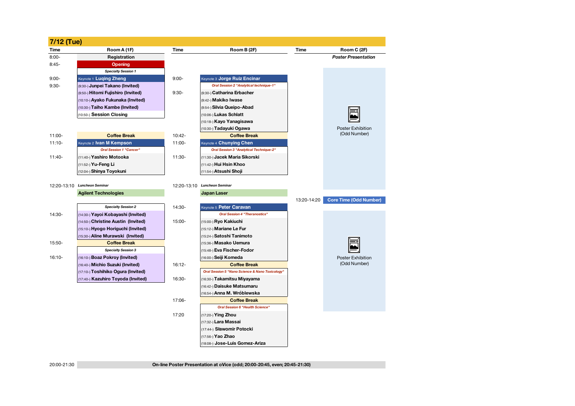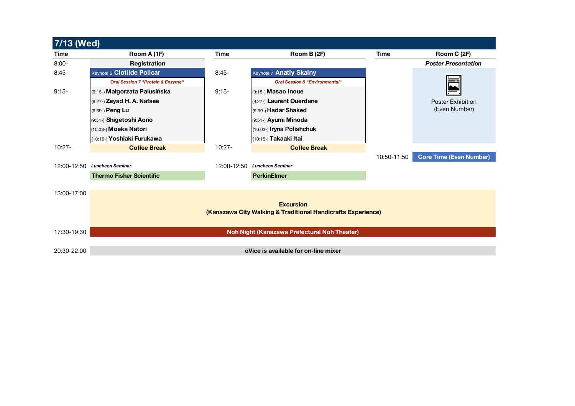